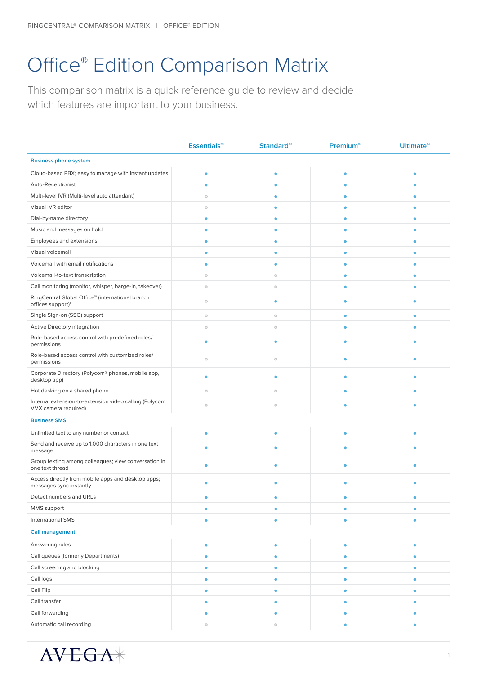## Office® Edition Comparison Matrix

This comparison matrix is a quick reference guide to review and decide which features are important to your business.

|                                                                                   | <b>Essentials™</b> | <b>Standard™</b> | <b>Premium™</b> | <b>Ultimate<sup>™</sup></b> |  |
|-----------------------------------------------------------------------------------|--------------------|------------------|-----------------|-----------------------------|--|
| <b>Business phone system</b>                                                      |                    |                  |                 |                             |  |
| Cloud-based PBX; easy to manage with instant updates                              | ۰                  | $\bullet$        | $\bullet$       | $\bullet$                   |  |
| Auto-Receptionist                                                                 | $\bullet$          | ٥                | ٠               |                             |  |
| Multi-level IVR (Multi-level auto attendant)                                      | $\circ$            | ٠                | ٠               | ٠                           |  |
| Visual IVR editor                                                                 | $\circ$            | ۰                | ٠               | ۰                           |  |
| Dial-by-name directory                                                            | ٠                  | ۰                | ۰               | ۰                           |  |
| Music and messages on hold                                                        | ٠                  | ۰                | $\bullet$       | ۰                           |  |
| Employees and extensions                                                          | ۰                  | ۰                | ٠               | ۰                           |  |
| Visual voicemail                                                                  | $\bullet$          | ٠                |                 | ۰                           |  |
| Voicemail with email notifications                                                | ۰                  | ۰                | ٠               | ۰                           |  |
| Voicemail-to-text transcription                                                   | $\circ$            | $\circ$          | ٠               | ٠                           |  |
| Call monitoring (monitor, whisper, barge-in, takeover)                            | $\circ$            | $\circ$          | ٠               | ۰                           |  |
| RingCentral Global Office™ (international branch<br>offices support) <sup>1</sup> | $\circ$            | ٠                |                 |                             |  |
| Single Sign-on (SSO) support                                                      | $\circ$            | $\circ$          | ٠               | ۰                           |  |
| Active Directory integration                                                      | $\circ$            | $\circ$          | ٠               |                             |  |
| Role-based access control with predefined roles/<br>permissions                   | ٠                  | ٠                |                 |                             |  |
| Role-based access control with customized roles/<br>permissions                   | $\circ$            | $\circ$          | ۰               |                             |  |
| Corporate Directory (Polycom® phones, mobile app,<br>desktop app)                 | ۰                  | ۰                |                 |                             |  |
| Hot desking on a shared phone                                                     | $\circ$            | $\circ$          | $\bullet$       | $\bullet$                   |  |
| Internal extension-to-extension video calling (Polycom<br>VVX camera required)    | $\circ$            | $\circ$          |                 |                             |  |
| <b>Business SMS</b>                                                               |                    |                  |                 |                             |  |
| Unlimited text to any number or contact                                           | ۰                  | ٠                | ٠               | ٠                           |  |
| Send and receive up to 1,000 characters in one text<br>message                    | ۰                  |                  |                 |                             |  |
| Group texting among colleagues; view conversation in<br>one text thread           | ٠                  |                  |                 |                             |  |
| Access directly from mobile apps and desktop apps;<br>messages sync instantly     | ۰                  | ٠                |                 |                             |  |
| Detect numbers and URLs                                                           | ۰                  |                  |                 |                             |  |
| MMS support                                                                       | ٠                  |                  |                 |                             |  |
| <b>International SMS</b>                                                          | $\bullet$          |                  |                 |                             |  |
| <b>Call management</b>                                                            |                    |                  |                 |                             |  |
| Answering rules                                                                   | ۰                  | $\bullet$        | $\bullet$       | $\bullet$                   |  |
| Call queues (formerly Departments)                                                | ۰                  | ۰                | ۰               | ۰                           |  |
| Call screening and blocking                                                       | ۰                  | ٠                | ۰               | ٠                           |  |
| Call logs                                                                         | $\bullet$          | ۰                | ۰               | ۰                           |  |
| Call Flip                                                                         | ۰                  | ۰                | $\bullet$       | $\bullet$                   |  |
| Call transfer                                                                     | $\bullet$          | ۰                | ٠               | ۰                           |  |
| Call forwarding                                                                   | $\bullet$          | ۰                |                 |                             |  |
| Automatic call recording                                                          | $\circ$            | $\circ$          | ٠               |                             |  |

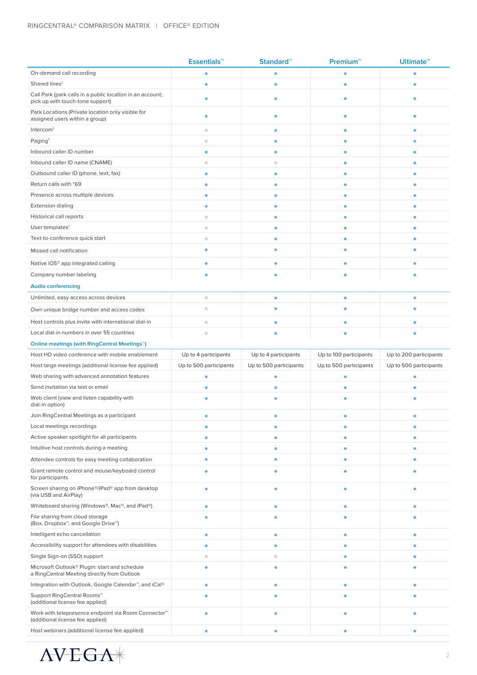|                                                                                                     | <b>Essentials™</b>     | <b>Standard™</b>       | <b>Premium™</b>        | <b>Ultimate<sup>™</sup></b> |  |  |
|-----------------------------------------------------------------------------------------------------|------------------------|------------------------|------------------------|-----------------------------|--|--|
| On-demand call recording                                                                            | ٠                      | ٠                      | ٠                      | ٠                           |  |  |
| Shared lines <sup>1</sup>                                                                           | é                      | ٠                      | ٠                      | ۵                           |  |  |
| Call Park (park calls in a public location in an account;<br>pick up with touch-tone support)       | ٠                      | ٠                      | ٠                      |                             |  |  |
| Park Locations (Private location only visible for<br>assigned users within a group)                 | ٠                      | ٠                      |                        |                             |  |  |
| Intercom <sup>1</sup>                                                                               | $\circ$                | ۰                      | ٠                      | ۰                           |  |  |
| Paging <sup>1</sup>                                                                                 | $\circ$                | ۰                      |                        | ۰                           |  |  |
| Inbound caller ID number                                                                            | $\bullet$              | ٠                      |                        | ۰                           |  |  |
| Inbound caller ID name (CNAME)                                                                      | $\circ$                | $\circ$                | ۰                      | ۰                           |  |  |
| Outbound caller ID (phone, text, fax)                                                               | $\bullet$              | $\bullet$              | ٠                      | ۰                           |  |  |
| Return calls with *69                                                                               | ٠                      | ۰                      | ٠                      | ۰                           |  |  |
| Presence across multiple devices                                                                    | ۰                      | ۰                      | ۰                      | ۰                           |  |  |
| <b>Extension dialing</b>                                                                            | ٠                      | ۰                      | ۰                      | ٠                           |  |  |
| Historical call reports                                                                             | $\circ$                | ۰                      | ٠                      | ۰                           |  |  |
| User templates <sup>1</sup>                                                                         | $\circ$                | ۰                      | ٠                      | ۰                           |  |  |
| Text-to-conference quick start                                                                      | $\circ$                | ٠                      | ٠                      | ۰                           |  |  |
| Missed call notification                                                                            | ٥                      |                        |                        |                             |  |  |
| Native iOS® app integrated calling                                                                  | ۰                      | ۰                      | ۰                      | ٠                           |  |  |
| Company number labeling                                                                             | ٠                      |                        |                        |                             |  |  |
| <b>Audio conferencing</b>                                                                           |                        |                        |                        |                             |  |  |
| Unlimited, easy access across devices                                                               | $\circ$                | $\bullet$              | ۰                      | ۰                           |  |  |
| Own unique bridge number and access codes                                                           | $\circ$                | ۰                      | ۰                      |                             |  |  |
| Host controls plus invite with international dial-in                                                | $\circ$                | $\bullet$              | ٠                      | ۰                           |  |  |
| Local dial-in numbers in over 55 countries                                                          | $\circ$                |                        |                        |                             |  |  |
| Online meetings (with RingCentral Meetings <sup>™</sup> )                                           |                        |                        |                        |                             |  |  |
|                                                                                                     |                        |                        |                        |                             |  |  |
| Host HD video conference with mobile enablement                                                     | Up to 4 participants   | Up to 4 participants   | Up to 100 participants | Up to 200 participants      |  |  |
| Host large meetings (additional license fee applied)                                                | Up to 500 participants | Up to 500 participants | Up to 500 participants | Up to 500 participants      |  |  |
| Web sharing with advanced annotation features                                                       |                        |                        |                        |                             |  |  |
| Send invitation via text or email                                                                   | ٠                      | ۵                      |                        |                             |  |  |
| Web client (view and listen capability with<br>dial-in option)                                      |                        |                        |                        |                             |  |  |
| Join RingCentral Meetings as a participant                                                          | ٠                      |                        |                        | ۰                           |  |  |
| Local meetings recordings                                                                           |                        |                        |                        |                             |  |  |
| Active speaker spotlight for all participants                                                       | ٠                      | ۰                      | ۰                      | ۰                           |  |  |
| Intuitive host controls during a meeting                                                            | ٠                      | ۰                      | ٠                      |                             |  |  |
| Attendee controls for easy meeting collaboration                                                    | ٠                      | ۰                      | ٠                      |                             |  |  |
| Grant remote control and mouse/keyboard control<br>for participants                                 |                        |                        |                        |                             |  |  |
| Screen sharing on iPhone®/iPad® app from desktop<br>(via USB and AirPlay)                           | ٠                      | ۰                      | ۰                      |                             |  |  |
| Whiteboard sharing (Windows®, Mac®, and iPad®)                                                      | ٠                      | ۰                      | ٠                      | ۰                           |  |  |
| File sharing from cloud storage<br>(Box, Dropbox <sup>™</sup> , and Google Drive™)                  |                        |                        |                        |                             |  |  |
| Intelligent echo cancellation                                                                       | ٥                      | ۰                      | ۰                      | ٠                           |  |  |
| Accessibility support for attendees with disabilities                                               | ٠                      | ۰                      | ٠                      |                             |  |  |
| Single Sign-on (SSO) support                                                                        | $\circ$                | $\circ$                | ۰                      |                             |  |  |
| Microsoft Outlook® Plugin: start and schedule<br>a RingCentral Meeting directly from Outlook        | ٠                      | ٠                      |                        |                             |  |  |
| Integration with Outlook, Google Calendar <sup>™</sup> , and iCal®                                  | ۰                      | ۰                      | ۰                      | ٠                           |  |  |
| Support RingCentral Rooms™<br>(additional license fee applied)                                      |                        |                        |                        |                             |  |  |
| Work with telepresence endpoint via Room Connector <sup>™</sup><br>(additional license fee applied) | ٠                      |                        |                        |                             |  |  |

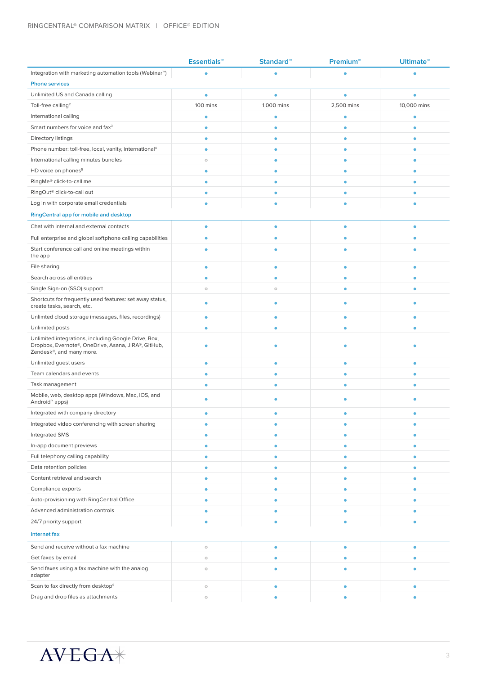|                                                                                                                                         | <b>Essentials™</b> | Standard <sup>™</sup> | <b>Premium™</b> | <b>Ultimate™</b> |  |
|-----------------------------------------------------------------------------------------------------------------------------------------|--------------------|-----------------------|-----------------|------------------|--|
| Integration with marketing automation tools (Webinar <sup>™</sup> )                                                                     | ٠                  |                       |                 |                  |  |
| <b>Phone services</b>                                                                                                                   |                    |                       |                 |                  |  |
| Unlimited US and Canada calling                                                                                                         | $\bullet$          | ٠                     | ٠               |                  |  |
| Toll-free calling <sup>2</sup>                                                                                                          | 100 mins           | 1,000 mins            | 2,500 mins      | 10,000 mins      |  |
| International calling                                                                                                                   | $\bullet$          | ٠                     | ۰               | $\bullet$        |  |
| Smart numbers for voice and fax <sup>3</sup>                                                                                            | $\bullet$          | ۰                     | ٥               |                  |  |
| Directory listings                                                                                                                      | $\bullet$          | ٠                     | ٥               |                  |  |
| Phone number: toll-free, local, vanity, international <sup>4</sup>                                                                      | $\bullet$          | ۵                     | ٠               |                  |  |
| International calling minutes bundles                                                                                                   | $\circ$            | ۰                     | ۰               |                  |  |
| HD voice on phones <sup>5</sup>                                                                                                         | $\bullet$          |                       | ٠               |                  |  |
| RingMe® click-to-call me                                                                                                                | $\bullet$          | ۸                     | ۰               |                  |  |
| RingOut <sup>®</sup> click-to-call out                                                                                                  | ۰                  | ۵                     | ٠               |                  |  |
| Log in with corporate email credentials                                                                                                 | ٠                  |                       |                 |                  |  |
| <b>RingCentral app for mobile and desktop</b>                                                                                           |                    |                       |                 |                  |  |
| Chat with internal and external contacts                                                                                                | $\bullet$          | ٠                     | $\bullet$       | ٠                |  |
| Full enterprise and global softphone calling capabilities                                                                               | $\bullet$          |                       | ٠               |                  |  |
| Start conference call and online meetings within<br>the app                                                                             | ۰                  |                       | ٠               |                  |  |
| File sharing                                                                                                                            | $\bullet$          | ۰                     | $\bullet$       | ٠                |  |
| Search across all entities                                                                                                              | $\bullet$          | ۰                     | ۰               |                  |  |
| Single Sign-on (SSO) support                                                                                                            | $\circ$            | $\circ$               | ۰               |                  |  |
| Shortcuts for frequently used features: set away status,<br>create tasks, search, etc.                                                  | ٠                  |                       | ٠               |                  |  |
| Unlimted cloud storage (messages, files, recordings)                                                                                    | ۰                  | ٠                     | ۰               |                  |  |
| Unlimited posts                                                                                                                         | ۰                  |                       | ۰               |                  |  |
| Unlimited integrations, including Google Drive, Box,<br>Dropbox, Evernote®, OneDrive, Asana, JIRA®, GitHub,<br>Zendesk®, and many more. |                    |                       |                 |                  |  |
| Unlimited guest users                                                                                                                   | $\bullet$          | ٠                     | ٠               |                  |  |
| Team calendars and events                                                                                                               | $\bullet$          |                       | ٠               |                  |  |
| Task management                                                                                                                         | $\bullet$          |                       | ٠               |                  |  |
| Mobile, web, desktop apps (Windows, Mac, iOS, and<br>Android <sup>™</sup> apps)                                                         |                    |                       |                 |                  |  |
| Integrated with company directory                                                                                                       |                    |                       |                 |                  |  |
| Integrated video conferencing with screen sharing                                                                                       | ۰                  |                       |                 |                  |  |
| Integrated SMS                                                                                                                          | $\bullet$          |                       | ۰               |                  |  |
| In-app document previews                                                                                                                | $\bullet$          | ٠                     | ۰               |                  |  |
| Full telephony calling capability                                                                                                       | ۰                  | ۰                     | ۰               |                  |  |
| Data retention policies                                                                                                                 | ۰                  | ۰                     | ۰               | ٠                |  |
| Content retrieval and search                                                                                                            | $\bullet$          | ۰                     | ۰               |                  |  |
| Compliance exports                                                                                                                      | ۰                  | ۰                     | ۰               |                  |  |
| Auto-provisioning with RingCentral Office                                                                                               | ۰                  |                       | ٠               |                  |  |
| Advanced administration controls                                                                                                        | ۰                  |                       | ٠               |                  |  |
| 24/7 priority support                                                                                                                   |                    |                       |                 |                  |  |
| <b>Internet fax</b>                                                                                                                     |                    |                       |                 |                  |  |
| Send and receive without a fax machine                                                                                                  | $\circ$            | ۰                     | ۰               |                  |  |
| Get faxes by email                                                                                                                      | $\circ$            |                       | ٠               |                  |  |
| Send faxes using a fax machine with the analog<br>adapter                                                                               | $\circ$            |                       |                 |                  |  |
| Scan to fax directly from desktop <sup>6</sup>                                                                                          | $\circ$            |                       | ۰               |                  |  |
| Drag and drop files as attachments                                                                                                      | $\circ$            |                       | ٠               | ۰                |  |

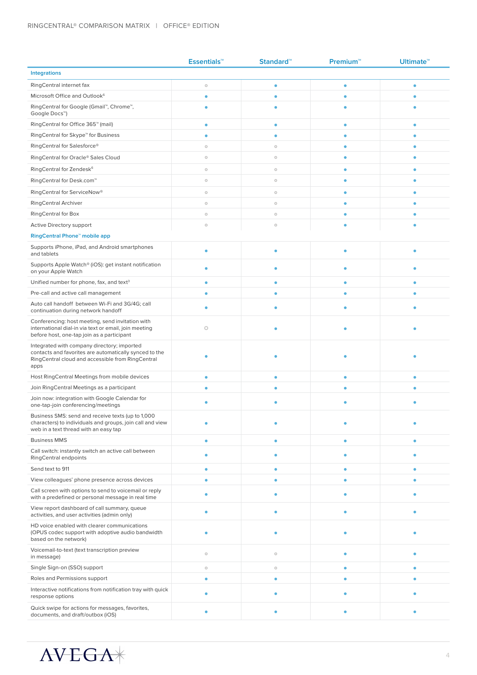|                                                                                                                                                                    | <b>Essentials™</b> | Standard <sup>™</sup> | Premium <sup>2</sup> | <b>Ultimate<sup>™</sup></b> |
|--------------------------------------------------------------------------------------------------------------------------------------------------------------------|--------------------|-----------------------|----------------------|-----------------------------|
| <b>Integrations</b>                                                                                                                                                |                    |                       |                      |                             |
| RingCentral internet fax                                                                                                                                           | $\circ$            | ٥                     | ٠                    | ٠                           |
| Microsoft Office and Outlook <sup>6</sup>                                                                                                                          | $\bullet$          | ۵                     | ٠                    |                             |
| RingCentral for Google (Gmail™, Chrome™,<br>Google Docs™)                                                                                                          | ۰                  | ۰                     | ٠                    |                             |
| RingCentral for Office 365 <sup>™</sup> (mail)                                                                                                                     | ۰                  | $\bullet$             | ۰                    | ٠                           |
| RingCentral for Skype <sup>™</sup> for Business                                                                                                                    | $\bullet$          | ۰                     | ٠                    | ٠                           |
| RingCentral for Salesforce®                                                                                                                                        | $\circ$            | $\circ$               | ٠                    | ٠                           |
| RingCentral for Oracle® Sales Cloud                                                                                                                                | $\circ$            | $\circ$               | ٠                    | ٠                           |
| RingCentral for Zendesk <sup>6</sup>                                                                                                                               | $\circ$            | $\circ$               | ٠                    | ٠                           |
| RingCentral for Desk.com <sup>™</sup>                                                                                                                              | $\circ$            | $\circ$               | ٠                    |                             |
| RingCentral for ServiceNow <sup>®</sup>                                                                                                                            | $\circ$            | $\circ$               | ٠                    | ٠                           |
| <b>RingCentral Archiver</b>                                                                                                                                        | $\circ$            | $\circ$               | ۰                    | ٠                           |
| <b>RingCentral for Box</b>                                                                                                                                         | $\circ$            | $\circ$               | ۰                    |                             |
| Active Directory support                                                                                                                                           | $\circ$            | $\circ$               |                      |                             |
| RingCentral Phone <sup>™</sup> mobile app                                                                                                                          |                    |                       |                      |                             |
| Supports iPhone, iPad, and Android smartphones<br>and tablets                                                                                                      | ٠                  | $\bullet$             | ٠                    | ٠                           |
| Supports Apple Watch® (iOS): get instant notification<br>on your Apple Watch                                                                                       | ۰                  | ٠                     |                      |                             |
| Unified number for phone, fax, and text <sup>3</sup>                                                                                                               | ۰                  | ۰                     | ٠                    | ٠                           |
| Pre-call and active call management                                                                                                                                | ٠                  | ٠                     | ٠                    |                             |
| Auto call handoff between Wi-Fi and 3G/4G; call<br>continuation during network handoff                                                                             | ۰                  | ۰                     | ٠                    |                             |
| Conferencing: host meeting, send invitation with<br>international dial-in via text or email, join meeting<br>before host, one-tap join as a participant            | $\circ$            |                       |                      |                             |
| Integrated with company directory; imported<br>contacts and favorites are automatically synced to the<br>RingCentral cloud and accessible from RingCentral<br>apps |                    |                       |                      |                             |
| Host RingCentral Meetings from mobile devices                                                                                                                      | ۰                  | ۰                     | $\bullet$            | $\bullet$                   |
| Join RingCentral Meetings as a participant                                                                                                                         | ۰                  | ٥                     | ٠                    |                             |
| Join now: integration with Google Calendar for<br>one-tap-join conferencing/meetings                                                                               | ۵                  |                       |                      |                             |
| Business SMS: send and receive texts (up to 1,000<br>characters) to individuals and groups, join call and view<br>web in a text thread with an easy tap            |                    |                       |                      |                             |
| <b>Business MMS</b>                                                                                                                                                | $\bullet$          | $\bullet$             | ۰                    | $\bullet$                   |
| Call switch: instantly switch an active call between<br>RingCentral endpoints                                                                                      | ۰                  | ۰                     | $\bullet$            |                             |
| Send text to 911                                                                                                                                                   | ٠                  | $\bullet$             | ٠                    | ۰                           |
| View colleagues' phone presence across devices                                                                                                                     | ٠                  | $\bullet$             | ٠                    | $\bullet$                   |
| Call screen with options to send to voicemail or reply<br>with a predefined or personal message in real time                                                       | ۰                  | ٥                     | ٠                    | ٠                           |
| View report dashboard of call summary, queue<br>activities, and user activities (admin only)                                                                       | ۰                  | ٠                     | ۰                    |                             |
| HD voice enabled with clearer communications<br>(OPUS codec support with adoptive audio bandwidth<br>based on the network)                                         |                    |                       |                      |                             |
| Voicemail-to-text (text transcription preview<br>in message)                                                                                                       | $\circ$            | $\circ$               | ۰                    | ٠                           |
| Single Sign-on (SSO) support                                                                                                                                       | $\circ$            | $\circ$               | $\bullet$            | $\bullet$                   |
| Roles and Permissions support                                                                                                                                      | ۰                  | ۰                     | $\bullet$            | ۰                           |
| Interactive notifications from notification tray with quick<br>response options                                                                                    | ۰                  | ۰                     | $\bullet$            |                             |
| Quick swipe for actions for messages, favorites,<br>documents, and draft/outbox (iOS)                                                                              | ۰                  | ٠                     |                      |                             |

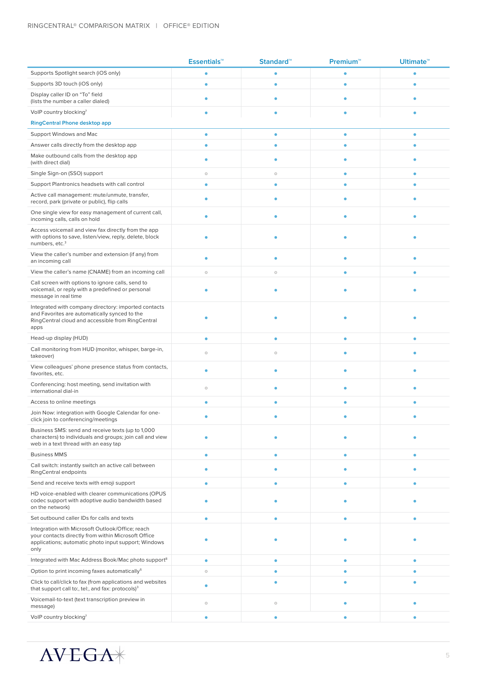|                                                                                                                                                                         | <b>Essentials™</b> | <b>Standard™</b> | <b>Premium™</b> | <b>Ultimate<sup>™</sup></b> |  |  |
|-------------------------------------------------------------------------------------------------------------------------------------------------------------------------|--------------------|------------------|-----------------|-----------------------------|--|--|
| Supports Spotlight search (iOS only)                                                                                                                                    | ۰                  | ۵                | ٠               | ٠                           |  |  |
| Supports 3D touch (iOS only)                                                                                                                                            | ٠                  | ۰                | ٠               | ٠                           |  |  |
| Display caller ID on "To" field<br>(lists the number a caller dialed)                                                                                                   | ۰                  | ۰                | ٠               |                             |  |  |
| VolP country blocking7                                                                                                                                                  | ٥                  | ٥                |                 |                             |  |  |
| <b>RingCentral Phone desktop app</b>                                                                                                                                    |                    |                  |                 |                             |  |  |
| Support Windows and Mac                                                                                                                                                 | ٠                  | $\bullet$        | ٠               | ٠                           |  |  |
| Answer calls directly from the desktop app                                                                                                                              | ٠                  | $\bullet$        | ۰               |                             |  |  |
| Make outbound calls from the desktop app<br>(with direct dial)                                                                                                          | ۰                  | ۵                | ٠               |                             |  |  |
| Single Sign-on (SSO) support                                                                                                                                            | $\circ$            | $\circ$          | $\bullet$       | $\bullet$                   |  |  |
| Support Plantronics headsets with call control                                                                                                                          | ۰                  | ٥                | $\bullet$       | ٠                           |  |  |
| Active call management: mute/unmute, transfer,<br>record, park (private or public), flip calls                                                                          | ۰                  | ٠                | ٠               |                             |  |  |
| One single view for easy management of current call,<br>incoming calls, calls on hold                                                                                   | ۰                  | ۵                | ٠               |                             |  |  |
| Access voicemail and view fax directly from the app<br>with options to save, listen/view, reply, delete, block<br>numbers, etc. <sup>3</sup>                            | ۵                  |                  |                 |                             |  |  |
| View the caller's number and extension (if any) from<br>an incoming call                                                                                                | ٠                  | ۵                |                 |                             |  |  |
| View the caller's name (CNAME) from an incoming call                                                                                                                    | $\circ$            | $\circ$          | ٠               |                             |  |  |
| Call screen with options to ignore calls, send to<br>voicemail, or reply with a predefined or personal<br>message in real time                                          | ۰                  |                  |                 |                             |  |  |
| Integrated with company directory: imported contacts<br>and Favorites are automatically synced to the<br>RingCentral cloud and accessible from RingCentral<br>apps      |                    |                  |                 |                             |  |  |
| Head-up display (HUD)                                                                                                                                                   | $\bullet$          | $\bullet$        | $\bullet$       | $\bullet$                   |  |  |
| Call monitoring from HUD (monitor, whisper, barge-in,<br>takeover)                                                                                                      | $\circ$            | $\circ$          |                 |                             |  |  |
| View colleagues' phone presence status from contacts,<br>favorites, etc.                                                                                                | $\bullet$          | $\bullet$        | ٠               |                             |  |  |
| Conferencing: host meeting, send invitation with<br>international dial-in                                                                                               | $\circ$            | ٠                |                 |                             |  |  |
| Access to online meetings                                                                                                                                               | ٠                  | ٠                | ٠               | ٠                           |  |  |
| Join Now: integration with Google Calendar for one-<br>click join to conferencing/meetings                                                                              |                    |                  |                 |                             |  |  |
| Business SMS: send and receive texts (up to 1,000<br>characters) to individuals and groups; join call and view<br>web in a text thread with an easy tap                 |                    |                  |                 |                             |  |  |
| <b>Business MMS</b>                                                                                                                                                     | ۰                  | ۰                | $\bullet$       | ٠                           |  |  |
| Call switch: instantly switch an active call between<br>RingCentral endpoints                                                                                           | ۰                  | ٠                | ٠               |                             |  |  |
| Send and receive texts with emoji support                                                                                                                               | ۰                  | ۰                | ٠               | ٠                           |  |  |
| HD voice-enabled with clearer communications (OPUS<br>codec support with adoptive audio bandwidth based<br>on the network)                                              | ٠                  |                  |                 |                             |  |  |
| Set outbound caller IDs for calls and texts                                                                                                                             | $\bullet$          | ۰                | ۰               | $\bullet$                   |  |  |
| Integration with Microsoft Outlook/Office; reach<br>your contacts directly from within Microsoft Office<br>applications; automatic photo input support; Windows<br>only |                    |                  |                 |                             |  |  |
| Integrated with Mac Address Book/Mac photo support <sup>8</sup>                                                                                                         | $\bullet$          | ۰                | $\bullet$       | $\bullet$                   |  |  |
| Option to print incoming faxes automatically <sup>6</sup>                                                                                                               | $\circ$            | ۰                | ۰               | ۰                           |  |  |
| Click to call/click to fax (from applications and websites<br>that support call to:, tel:, and fax: protocols) <sup>3</sup>                                             | ٠                  | ٠                | ٠               |                             |  |  |
| Voicemail-to-text (text transcription preview in<br>message)                                                                                                            | $\circ$            | $\circ$          | ۰               |                             |  |  |
| VolP country blocking7                                                                                                                                                  | $\bullet$          | $\bullet$        | ٠               | $\bullet$                   |  |  |